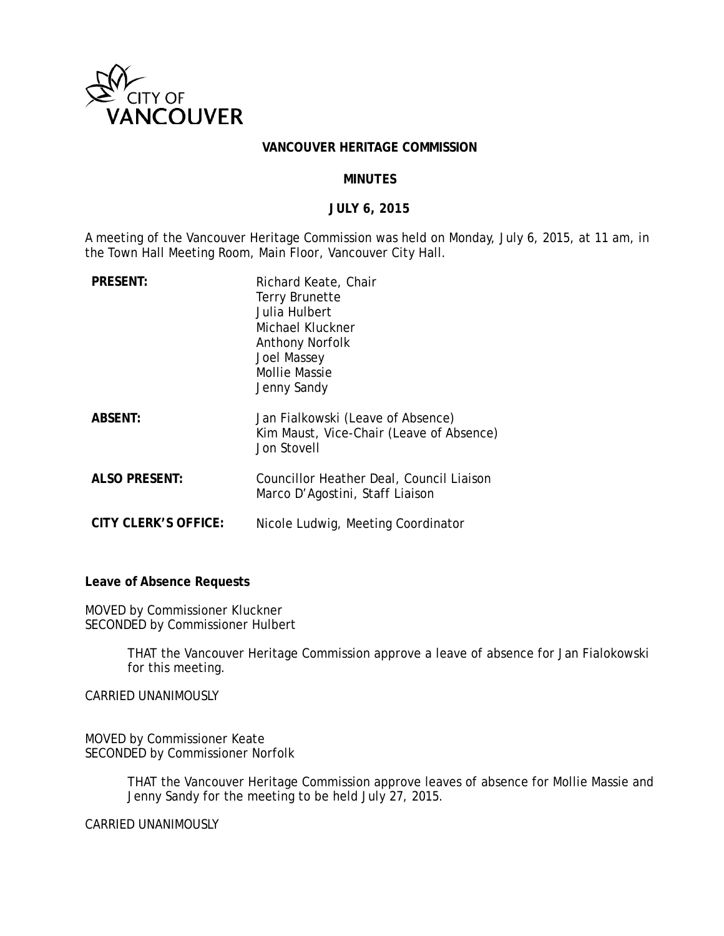

### **VANCOUVER HERITAGE COMMISSION**

### **MINUTES**

# **JULY 6, 2015**

A meeting of the Vancouver Heritage Commission was held on Monday, July 6, 2015, at 11 am, in the Town Hall Meeting Room, Main Floor, Vancouver City Hall.

| <b>PRESENT:</b>      | Richard Keate, Chair<br>Terry Brunette<br>Julia Hulbert<br>Michael Kluckner<br>Anthony Norfolk<br>Joel Massey<br><b>Mollie Massie</b><br>Jenny Sandy |
|----------------------|------------------------------------------------------------------------------------------------------------------------------------------------------|
| <b>ABSENT:</b>       | Jan Fialkowski (Leave of Absence)<br>Kim Maust, Vice-Chair (Leave of Absence)<br>Jon Stovell                                                         |
| <b>ALSO PRESENT:</b> | Councillor Heather Deal, Council Liaison<br>Marco D'Agostini, Staff Liaison                                                                          |
| CITY CLERK'S OFFICE: | Nicole Ludwig, Meeting Coordinator                                                                                                                   |

**Leave of Absence Requests**

MOVED by Commissioner Kluckner SECONDED by Commissioner Hulbert

> THAT the Vancouver Heritage Commission approve a leave of absence for Jan Fialokowski for this meeting.

CARRIED UNANIMOUSLY

MOVED by Commissioner Keate SECONDED by Commissioner Norfolk

> THAT the Vancouver Heritage Commission approve leaves of absence for Mollie Massie and Jenny Sandy for the meeting to be held July 27, 2015.

CARRIED UNANIMOUSLY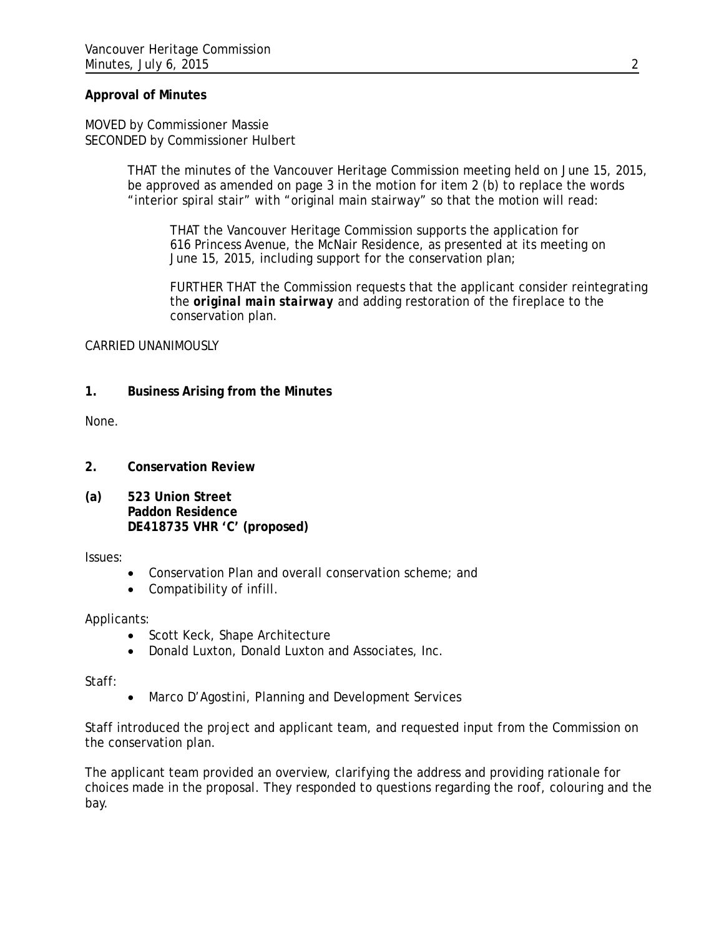# **Approval of Minutes**

MOVED by Commissioner Massie SECONDED by Commissioner Hulbert

> THAT the minutes of the Vancouver Heritage Commission meeting held on June 15, 2015, be approved as amended on page 3 in the motion for item 2 (b) to replace the words "interior spiral stair" with "original main stairway" so that the motion will read:

THAT the Vancouver Heritage Commission supports the application for 616 Princess Avenue, the McNair Residence, as presented at its meeting on June 15, 2015, including support for the conservation plan;

FURTHER THAT the Commission requests that the applicant consider reintegrating the *original main stairway* and adding restoration of the fireplace to the conservation plan.

# CARRIED UNANIMOUSLY

# **1. Business Arising from the Minutes**

None.

- **2. Conservation Review**
- **(a) 523 Union Street Paddon Residence DE418735 VHR 'C' (proposed)**

Issues:

- Conservation Plan and overall conservation scheme; and
- Compatibility of infill.

# Applicants:

- Scott Keck, Shape Architecture
- Donald Luxton, Donald Luxton and Associates, Inc.

Staff:

• Marco D'Agostini, Planning and Development Services

Staff introduced the project and applicant team, and requested input from the Commission on the conservation plan.

The applicant team provided an overview, clarifying the address and providing rationale for choices made in the proposal. They responded to questions regarding the roof, colouring and the bay.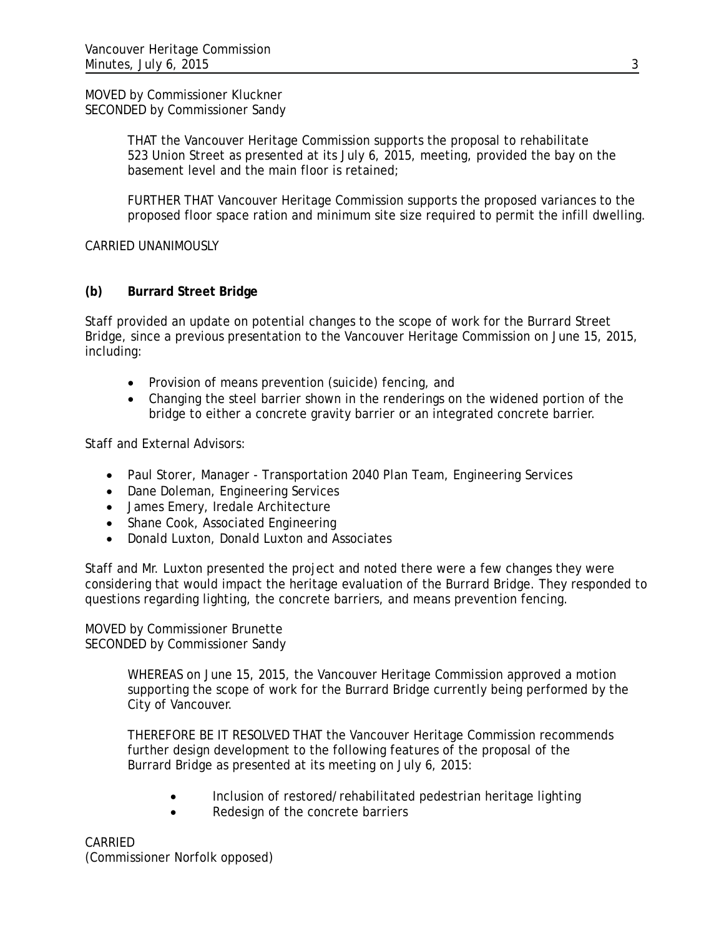MOVED by Commissioner Kluckner SECONDED by Commissioner Sandy

> THAT the Vancouver Heritage Commission supports the proposal to rehabilitate 523 Union Street as presented at its July 6, 2015, meeting, provided the bay on the basement level and the main floor is retained;

FURTHER THAT Vancouver Heritage Commission supports the proposed variances to the proposed floor space ration and minimum site size required to permit the infill dwelling.

CARRIED UNANIMOUSLY

# **(b) Burrard Street Bridge**

Staff provided an update on potential changes to the scope of work for the Burrard Street Bridge, since a previous presentation to the Vancouver Heritage Commission on June 15, 2015, including:

- Provision of means prevention (suicide) fencing, and
- Changing the steel barrier shown in the renderings on the widened portion of the bridge to either a concrete gravity barrier or an integrated concrete barrier.

Staff and External Advisors:

- Paul Storer, Manager Transportation 2040 Plan Team, Engineering Services
- Dane Doleman, Engineering Services
- James Emery, Iredale Architecture
- Shane Cook, Associated Engineering
- Donald Luxton, Donald Luxton and Associates

Staff and Mr. Luxton presented the project and noted there were a few changes they were considering that would impact the heritage evaluation of the Burrard Bridge. They responded to questions regarding lighting, the concrete barriers, and means prevention fencing.

MOVED by Commissioner Brunette SECONDED by Commissioner Sandy

> WHEREAS on June 15, 2015, the Vancouver Heritage Commission approved a motion supporting the scope of work for the Burrard Bridge currently being performed by the City of Vancouver.

THEREFORE BE IT RESOLVED THAT the Vancouver Heritage Commission recommends further design development to the following features of the proposal of the Burrard Bridge as presented at its meeting on July 6, 2015:

- Inclusion of restored/rehabilitated pedestrian heritage lighting
- Redesign of the concrete barriers

CARRIED (Commissioner Norfolk opposed)